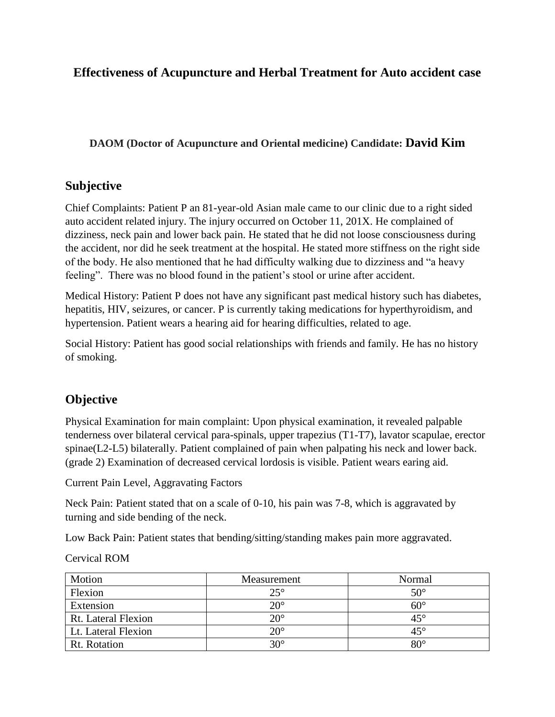## **Effectiveness of Acupuncture and Herbal Treatment for Auto accident case**

### **DAOM (Doctor of Acupuncture and Oriental medicine) Candidate: David Kim**

## **Subjective**

Chief Complaints: Patient P an 81-year-old Asian male came to our clinic due to a right sided auto accident related injury. The injury occurred on October 11, 201X. He complained of dizziness, neck pain and lower back pain. He stated that he did not loose consciousness during the accident, nor did he seek treatment at the hospital. He stated more stiffness on the right side of the body. He also mentioned that he had difficulty walking due to dizziness and "a heavy feeling". There was no blood found in the patient's stool or urine after accident.

Medical History: Patient P does not have any significant past medical history such has diabetes, hepatitis, HIV, seizures, or cancer. P is currently taking medications for hyperthyroidism, and hypertension. Patient wears a hearing aid for hearing difficulties, related to age.

Social History: Patient has good social relationships with friends and family. He has no history of smoking.

## **Objective**

Physical Examination for main complaint: Upon physical examination, it revealed palpable tenderness over bilateral cervical para-spinals, upper trapezius (T1-T7), lavator scapulae, erector spinae(L2-L5) bilaterally. Patient complained of pain when palpating his neck and lower back. (grade 2) Examination of decreased cervical lordosis is visible. Patient wears earing aid.

Current Pain Level, Aggravating Factors

Neck Pain: Patient stated that on a scale of 0-10, his pain was 7-8, which is aggravated by turning and side bending of the neck.

Low Back Pain: Patient states that bending/sitting/standing makes pain more aggravated.

Cervical ROM

| Motion                     | Measurement  | Normal       |
|----------------------------|--------------|--------------|
| Flexion                    | $25^{\circ}$ | $50^\circ$   |
| Extension                  | $20^{\circ}$ | $60^\circ$   |
| <b>Rt.</b> Lateral Flexion | $20^{\circ}$ | $45^{\circ}$ |
| Lt. Lateral Flexion        | $20^{\circ}$ | $45^{\circ}$ |
| Rt. Rotation               | $30^\circ$   | $80^\circ$   |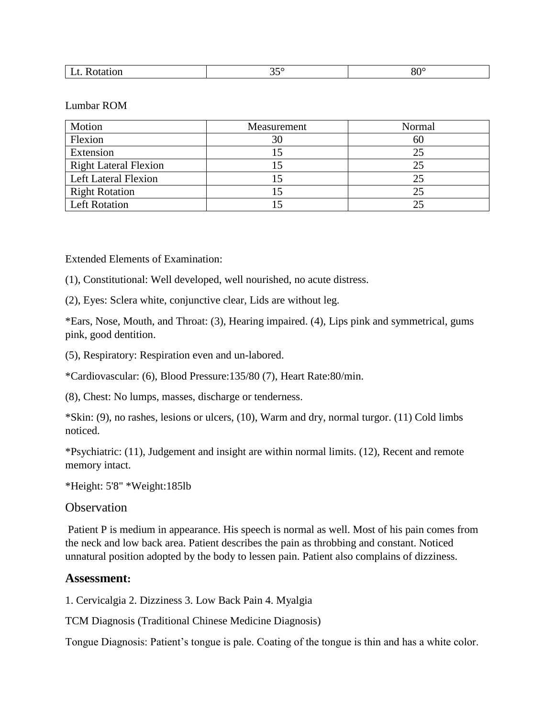#### Lumbar ROM

| Motion                       | Measurement | Normal |
|------------------------------|-------------|--------|
| Flexion                      | 30          | 60     |
| Extension                    |             | 25     |
| <b>Right Lateral Flexion</b> |             | 25     |
| <b>Left Lateral Flexion</b>  |             | 25     |
| <b>Right Rotation</b>        |             | 25     |
| <b>Left Rotation</b>         |             | 25     |

Extended Elements of Examination:

(1), Constitutional: Well developed, well nourished, no acute distress.

(2), Eyes: Sclera white, conjunctive clear, Lids are without leg.

\*Ears, Nose, Mouth, and Throat: (3), Hearing impaired. (4), Lips pink and symmetrical, gums pink, good dentition.

(5), Respiratory: Respiration even and un-labored.

\*Cardiovascular: (6), Blood Pressure:135/80 (7), Heart Rate:80/min.

(8), Chest: No lumps, masses, discharge or tenderness.

\*Skin: (9), no rashes, lesions or ulcers, (10), Warm and dry, normal turgor. (11) Cold limbs noticed.

\*Psychiatric: (11), Judgement and insight are within normal limits. (12), Recent and remote memory intact.

\*Height: 5'8" \*Weight:185lb

**Observation** 

Patient P is medium in appearance. His speech is normal as well. Most of his pain comes from the neck and low back area. Patient describes the pain as throbbing and constant. Noticed unnatural position adopted by the body to lessen pain. Patient also complains of dizziness.

### **Assessment:**

1. Cervicalgia 2. Dizziness 3. Low Back Pain 4. Myalgia

TCM Diagnosis (Traditional Chinese Medicine Diagnosis)

Tongue Diagnosis: Patient's tongue is pale. Coating of the tongue is thin and has a white color.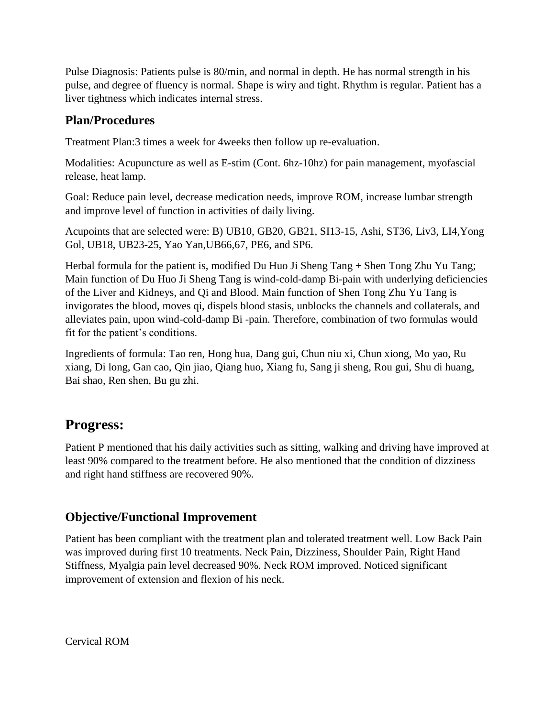Pulse Diagnosis: Patients pulse is 80/min, and normal in depth. He has normal strength in his pulse, and degree of fluency is normal. Shape is wiry and tight. Rhythm is regular. Patient has a liver tightness which indicates internal stress.

## **Plan/Procedures**

Treatment Plan:3 times a week for 4weeks then follow up re-evaluation.

Modalities: Acupuncture as well as E-stim (Cont. 6hz-10hz) for pain management, myofascial release, heat lamp.

Goal: Reduce pain level, decrease medication needs, improve ROM, increase lumbar strength and improve level of function in activities of daily living.

Acupoints that are selected were: B) UB10, GB20, GB21, SI13-15, Ashi, ST36, Liv3, LI4,Yong Gol, UB18, UB23-25, Yao Yan,UB66,67, PE6, and SP6.

Herbal formula for the patient is, modified Du Huo Ji Sheng Tang + Shen Tong Zhu Yu Tang; Main function of Du Huo Ji Sheng Tang is wind-cold-damp Bi-pain with underlying deficiencies of the Liver and Kidneys, and Qi and Blood. Main function of Shen Tong Zhu Yu Tang is invigorates the blood, moves qi, dispels blood stasis, unblocks the channels and collaterals, and alleviates pain, upon wind-cold-damp Bi -pain. Therefore, combination of two formulas would fit for the patient's conditions.

Ingredients of formula: Tao ren, Hong hua, Dang gui, Chun niu xi, Chun xiong, Mo yao, Ru xiang, Di long, Gan cao, Qin jiao, Qiang huo, Xiang fu, Sang ji sheng, Rou gui, Shu di huang, Bai shao, Ren shen, Bu gu zhi.

# **Progress:**

Patient P mentioned that his daily activities such as sitting, walking and driving have improved at least 90% compared to the treatment before. He also mentioned that the condition of dizziness and right hand stiffness are recovered 90%.

# **Objective/Functional Improvement**

Patient has been compliant with the treatment plan and tolerated treatment well. Low Back Pain was improved during first 10 treatments. Neck Pain, Dizziness, Shoulder Pain, Right Hand Stiffness, Myalgia pain level decreased 90%. Neck ROM improved. Noticed significant improvement of extension and flexion of his neck.

Cervical ROM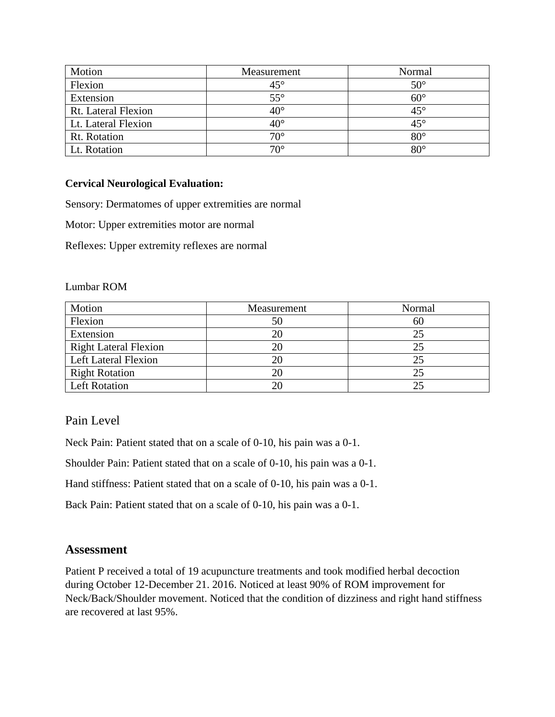| Motion              | Measurement  | Normal       |
|---------------------|--------------|--------------|
| Flexion             | $45^{\circ}$ | $50^\circ$   |
| Extension           | $55^{\circ}$ | $60^\circ$   |
| Rt. Lateral Flexion | $40^{\circ}$ | $45^{\circ}$ |
| Lt. Lateral Flexion | $40^{\circ}$ | $45^{\circ}$ |
| Rt. Rotation        | $70^{\circ}$ | $80^\circ$   |
| Lt. Rotation        | $70^{\circ}$ | $80^\circ$   |

### **Cervical Neurological Evaluation:**

Sensory: Dermatomes of upper extremities are normal

Motor: Upper extremities motor are normal

Reflexes: Upper extremity reflexes are normal

#### Lumbar ROM

| Motion                       | Measurement | Normal |
|------------------------------|-------------|--------|
| Flexion                      | 50          | 60     |
| Extension                    |             | 25     |
| <b>Right Lateral Flexion</b> |             | 25     |
| <b>Left Lateral Flexion</b>  |             | 25     |
| <b>Right Rotation</b>        |             | 25     |
| <b>Left Rotation</b>         |             | 25     |

### Pain Level

Neck Pain: Patient stated that on a scale of 0-10, his pain was a 0-1.

Shoulder Pain: Patient stated that on a scale of 0-10, his pain was a 0-1.

Hand stiffness: Patient stated that on a scale of 0-10, his pain was a 0-1.

Back Pain: Patient stated that on a scale of 0-10, his pain was a 0-1.

### **Assessment**

Patient P received a total of 19 acupuncture treatments and took modified herbal decoction during October 12-December 21. 2016. Noticed at least 90% of ROM improvement for Neck/Back/Shoulder movement. Noticed that the condition of dizziness and right hand stiffness are recovered at last 95%.